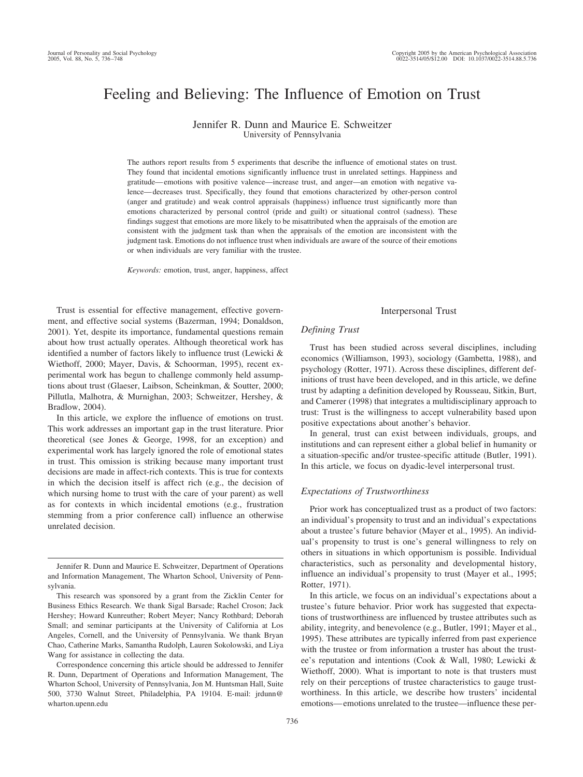# Feeling and Believing: The Influence of Emotion on Trust

Jennifer R. Dunn and Maurice E. Schweitzer University of Pennsylvania

The authors report results from 5 experiments that describe the influence of emotional states on trust. They found that incidental emotions significantly influence trust in unrelated settings. Happiness and gratitude— emotions with positive valence—increase trust, and anger—an emotion with negative valence— decreases trust. Specifically, they found that emotions characterized by other-person control (anger and gratitude) and weak control appraisals (happiness) influence trust significantly more than emotions characterized by personal control (pride and guilt) or situational control (sadness). These findings suggest that emotions are more likely to be misattributed when the appraisals of the emotion are consistent with the judgment task than when the appraisals of the emotion are inconsistent with the judgment task. Emotions do not influence trust when individuals are aware of the source of their emotions or when individuals are very familiar with the trustee.

*Keywords:* emotion, trust, anger, happiness, affect

Trust is essential for effective management, effective government, and effective social systems (Bazerman, 1994; Donaldson, 2001). Yet, despite its importance, fundamental questions remain about how trust actually operates. Although theoretical work has identified a number of factors likely to influence trust (Lewicki & Wiethoff, 2000; Mayer, Davis, & Schoorman, 1995), recent experimental work has begun to challenge commonly held assumptions about trust (Glaeser, Laibson, Scheinkman, & Soutter, 2000; Pillutla, Malhotra, & Murnighan, 2003; Schweitzer, Hershey, & Bradlow, 2004).

In this article, we explore the influence of emotions on trust. This work addresses an important gap in the trust literature. Prior theoretical (see Jones & George, 1998, for an exception) and experimental work has largely ignored the role of emotional states in trust. This omission is striking because many important trust decisions are made in affect-rich contexts. This is true for contexts in which the decision itself is affect rich (e.g., the decision of which nursing home to trust with the care of your parent) as well as for contexts in which incidental emotions (e.g., frustration stemming from a prior conference call) influence an otherwise unrelated decision.

#### Interpersonal Trust

## *Defining Trust*

Trust has been studied across several disciplines, including economics (Williamson, 1993), sociology (Gambetta, 1988), and psychology (Rotter, 1971). Across these disciplines, different definitions of trust have been developed, and in this article, we define trust by adapting a definition developed by Rousseau, Sitkin, Burt, and Camerer (1998) that integrates a multidisciplinary approach to trust: Trust is the willingness to accept vulnerability based upon positive expectations about another's behavior.

In general, trust can exist between individuals, groups, and institutions and can represent either a global belief in humanity or a situation-specific and/or trustee-specific attitude (Butler, 1991). In this article, we focus on dyadic-level interpersonal trust.

## *Expectations of Trustworthiness*

Prior work has conceptualized trust as a product of two factors: an individual's propensity to trust and an individual's expectations about a trustee's future behavior (Mayer et al., 1995). An individual's propensity to trust is one's general willingness to rely on others in situations in which opportunism is possible. Individual characteristics, such as personality and developmental history, influence an individual's propensity to trust (Mayer et al., 1995; Rotter, 1971).

In this article, we focus on an individual's expectations about a trustee's future behavior. Prior work has suggested that expectations of trustworthiness are influenced by trustee attributes such as ability, integrity, and benevolence (e.g., Butler, 1991; Mayer et al., 1995). These attributes are typically inferred from past experience with the trustee or from information a truster has about the trustee's reputation and intentions (Cook & Wall, 1980; Lewicki & Wiethoff, 2000). What is important to note is that trusters must rely on their perceptions of trustee characteristics to gauge trustworthiness. In this article, we describe how trusters' incidental emotions— emotions unrelated to the trustee—influence these per-

Jennifer R. Dunn and Maurice E. Schweitzer, Department of Operations and Information Management, The Wharton School, University of Pennsylvania.

This research was sponsored by a grant from the Zicklin Center for Business Ethics Research. We thank Sigal Barsade; Rachel Croson; Jack Hershey; Howard Kunreuther; Robert Meyer; Nancy Rothbard; Deborah Small; and seminar participants at the University of California at Los Angeles, Cornell, and the University of Pennsylvania. We thank Bryan Chao, Catherine Marks, Samantha Rudolph, Lauren Sokolowski, and Liya Wang for assistance in collecting the data.

Correspondence concerning this article should be addressed to Jennifer R. Dunn, Department of Operations and Information Management, The Wharton School, University of Pennsylvania, Jon M. Huntsman Hall, Suite 500, 3730 Walnut Street, Philadelphia, PA 19104. E-mail: jrdunn@ wharton.upenn.edu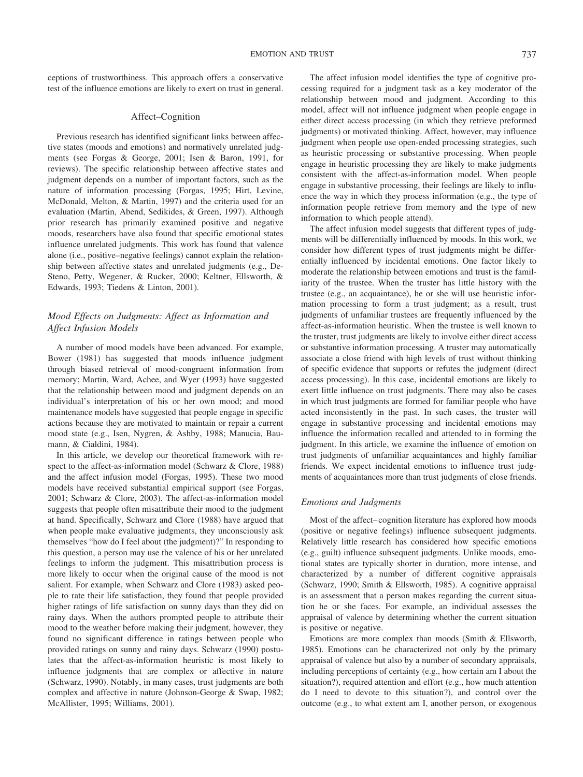ceptions of trustworthiness. This approach offers a conservative test of the influence emotions are likely to exert on trust in general.

## Affect–Cognition

Previous research has identified significant links between affective states (moods and emotions) and normatively unrelated judgments (see Forgas & George, 2001; Isen & Baron, 1991, for reviews). The specific relationship between affective states and judgment depends on a number of important factors, such as the nature of information processing (Forgas, 1995; Hirt, Levine, McDonald, Melton, & Martin, 1997) and the criteria used for an evaluation (Martin, Abend, Sedikides, & Green, 1997). Although prior research has primarily examined positive and negative moods, researchers have also found that specific emotional states influence unrelated judgments. This work has found that valence alone (i.e., positive–negative feelings) cannot explain the relationship between affective states and unrelated judgments (e.g., De-Steno, Petty, Wegener, & Rucker, 2000; Keltner, Ellsworth, & Edwards, 1993; Tiedens & Linton, 2001).

# *Mood Effects on Judgments: Affect as Information and Affect Infusion Models*

A number of mood models have been advanced. For example, Bower (1981) has suggested that moods influence judgment through biased retrieval of mood-congruent information from memory; Martin, Ward, Achee, and Wyer (1993) have suggested that the relationship between mood and judgment depends on an individual's interpretation of his or her own mood; and mood maintenance models have suggested that people engage in specific actions because they are motivated to maintain or repair a current mood state (e.g., Isen, Nygren, & Ashby, 1988; Manucia, Baumann, & Cialdini, 1984).

In this article, we develop our theoretical framework with respect to the affect-as-information model (Schwarz & Clore, 1988) and the affect infusion model (Forgas, 1995). These two mood models have received substantial empirical support (see Forgas, 2001; Schwarz & Clore, 2003). The affect-as-information model suggests that people often misattribute their mood to the judgment at hand. Specifically, Schwarz and Clore (1988) have argued that when people make evaluative judgments, they unconsciously ask themselves "how do I feel about (the judgment)?" In responding to this question, a person may use the valence of his or her unrelated feelings to inform the judgment. This misattribution process is more likely to occur when the original cause of the mood is not salient. For example, when Schwarz and Clore (1983) asked people to rate their life satisfaction, they found that people provided higher ratings of life satisfaction on sunny days than they did on rainy days. When the authors prompted people to attribute their mood to the weather before making their judgment, however, they found no significant difference in ratings between people who provided ratings on sunny and rainy days. Schwarz (1990) postulates that the affect-as-information heuristic is most likely to influence judgments that are complex or affective in nature (Schwarz, 1990). Notably, in many cases, trust judgments are both complex and affective in nature (Johnson-George & Swap, 1982; McAllister, 1995; Williams, 2001).

The affect infusion model identifies the type of cognitive processing required for a judgment task as a key moderator of the relationship between mood and judgment. According to this model, affect will not influence judgment when people engage in either direct access processing (in which they retrieve preformed judgments) or motivated thinking. Affect, however, may influence judgment when people use open-ended processing strategies, such as heuristic processing or substantive processing. When people engage in heuristic processing they are likely to make judgments consistent with the affect-as-information model. When people engage in substantive processing, their feelings are likely to influence the way in which they process information (e.g., the type of information people retrieve from memory and the type of new information to which people attend).

The affect infusion model suggests that different types of judgments will be differentially influenced by moods. In this work, we consider how different types of trust judgments might be differentially influenced by incidental emotions. One factor likely to moderate the relationship between emotions and trust is the familiarity of the trustee. When the truster has little history with the trustee (e.g., an acquaintance), he or she will use heuristic information processing to form a trust judgment; as a result, trust judgments of unfamiliar trustees are frequently influenced by the affect-as-information heuristic. When the trustee is well known to the truster, trust judgments are likely to involve either direct access or substantive information processing. A truster may automatically associate a close friend with high levels of trust without thinking of specific evidence that supports or refutes the judgment (direct access processing). In this case, incidental emotions are likely to exert little influence on trust judgments. There may also be cases in which trust judgments are formed for familiar people who have acted inconsistently in the past. In such cases, the truster will engage in substantive processing and incidental emotions may influence the information recalled and attended to in forming the judgment. In this article, we examine the influence of emotion on trust judgments of unfamiliar acquaintances and highly familiar friends. We expect incidental emotions to influence trust judgments of acquaintances more than trust judgments of close friends.

## *Emotions and Judgments*

Most of the affect– cognition literature has explored how moods (positive or negative feelings) influence subsequent judgments. Relatively little research has considered how specific emotions (e.g., guilt) influence subsequent judgments. Unlike moods, emotional states are typically shorter in duration, more intense, and characterized by a number of different cognitive appraisals (Schwarz, 1990; Smith & Ellsworth, 1985). A cognitive appraisal is an assessment that a person makes regarding the current situation he or she faces. For example, an individual assesses the appraisal of valence by determining whether the current situation is positive or negative.

Emotions are more complex than moods (Smith & Ellsworth, 1985). Emotions can be characterized not only by the primary appraisal of valence but also by a number of secondary appraisals, including perceptions of certainty (e.g., how certain am I about the situation?), required attention and effort (e.g., how much attention do I need to devote to this situation?), and control over the outcome (e.g., to what extent am I, another person, or exogenous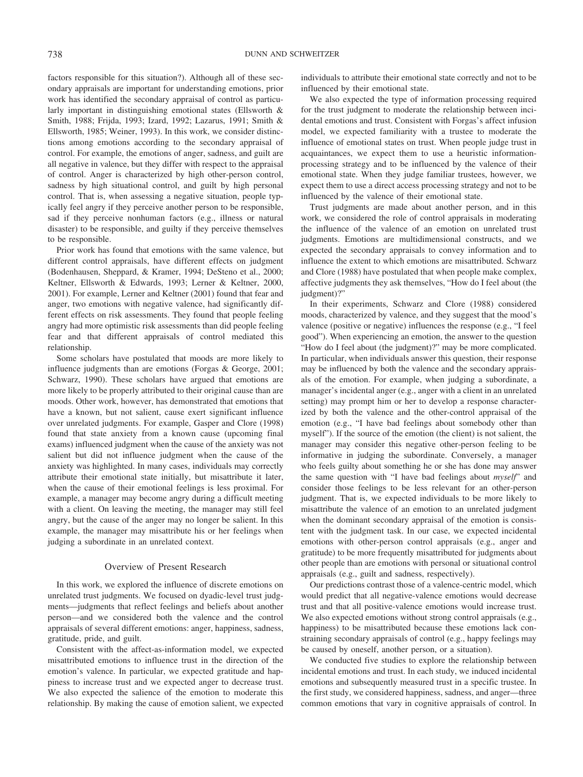factors responsible for this situation?). Although all of these secondary appraisals are important for understanding emotions, prior work has identified the secondary appraisal of control as particularly important in distinguishing emotional states (Ellsworth & Smith, 1988; Frijda, 1993; Izard, 1992; Lazarus, 1991; Smith & Ellsworth, 1985; Weiner, 1993). In this work, we consider distinctions among emotions according to the secondary appraisal of control. For example, the emotions of anger, sadness, and guilt are all negative in valence, but they differ with respect to the appraisal of control. Anger is characterized by high other-person control, sadness by high situational control, and guilt by high personal control. That is, when assessing a negative situation, people typically feel angry if they perceive another person to be responsible, sad if they perceive nonhuman factors (e.g., illness or natural disaster) to be responsible, and guilty if they perceive themselves to be responsible.

Prior work has found that emotions with the same valence, but different control appraisals, have different effects on judgment (Bodenhausen, Sheppard, & Kramer, 1994; DeSteno et al., 2000; Keltner, Ellsworth & Edwards, 1993; Lerner & Keltner, 2000, 2001). For example, Lerner and Keltner (2001) found that fear and anger, two emotions with negative valence, had significantly different effects on risk assessments. They found that people feeling angry had more optimistic risk assessments than did people feeling fear and that different appraisals of control mediated this relationship.

Some scholars have postulated that moods are more likely to influence judgments than are emotions (Forgas & George, 2001; Schwarz, 1990). These scholars have argued that emotions are more likely to be properly attributed to their original cause than are moods. Other work, however, has demonstrated that emotions that have a known, but not salient, cause exert significant influence over unrelated judgments. For example, Gasper and Clore (1998) found that state anxiety from a known cause (upcoming final exams) influenced judgment when the cause of the anxiety was not salient but did not influence judgment when the cause of the anxiety was highlighted. In many cases, individuals may correctly attribute their emotional state initially, but misattribute it later, when the cause of their emotional feelings is less proximal. For example, a manager may become angry during a difficult meeting with a client. On leaving the meeting, the manager may still feel angry, but the cause of the anger may no longer be salient. In this example, the manager may misattribute his or her feelings when judging a subordinate in an unrelated context.

## Overview of Present Research

In this work, we explored the influence of discrete emotions on unrelated trust judgments. We focused on dyadic-level trust judgments—judgments that reflect feelings and beliefs about another person—and we considered both the valence and the control appraisals of several different emotions: anger, happiness, sadness, gratitude, pride, and guilt.

Consistent with the affect-as-information model, we expected misattributed emotions to influence trust in the direction of the emotion's valence. In particular, we expected gratitude and happiness to increase trust and we expected anger to decrease trust. We also expected the salience of the emotion to moderate this relationship. By making the cause of emotion salient, we expected individuals to attribute their emotional state correctly and not to be influenced by their emotional state.

We also expected the type of information processing required for the trust judgment to moderate the relationship between incidental emotions and trust. Consistent with Forgas's affect infusion model, we expected familiarity with a trustee to moderate the influence of emotional states on trust. When people judge trust in acquaintances, we expect them to use a heuristic informationprocessing strategy and to be influenced by the valence of their emotional state. When they judge familiar trustees, however, we expect them to use a direct access processing strategy and not to be influenced by the valence of their emotional state.

Trust judgments are made about another person, and in this work, we considered the role of control appraisals in moderating the influence of the valence of an emotion on unrelated trust judgments. Emotions are multidimensional constructs, and we expected the secondary appraisals to convey information and to influence the extent to which emotions are misattributed. Schwarz and Clore (1988) have postulated that when people make complex, affective judgments they ask themselves, "How do I feel about (the judgment)?"

In their experiments, Schwarz and Clore (1988) considered moods, characterized by valence, and they suggest that the mood's valence (positive or negative) influences the response (e.g., "I feel good"). When experiencing an emotion, the answer to the question "How do I feel about (the judgment)?" may be more complicated. In particular, when individuals answer this question, their response may be influenced by both the valence and the secondary appraisals of the emotion. For example, when judging a subordinate, a manager's incidental anger (e.g., anger with a client in an unrelated setting) may prompt him or her to develop a response characterized by both the valence and the other-control appraisal of the emotion (e.g., "I have bad feelings about somebody other than myself"). If the source of the emotion (the client) is not salient, the manager may consider this negative other-person feeling to be informative in judging the subordinate. Conversely, a manager who feels guilty about something he or she has done may answer the same question with "I have bad feelings about *myself*" and consider those feelings to be less relevant for an other-person judgment. That is, we expected individuals to be more likely to misattribute the valence of an emotion to an unrelated judgment when the dominant secondary appraisal of the emotion is consistent with the judgment task. In our case, we expected incidental emotions with other-person control appraisals (e.g., anger and gratitude) to be more frequently misattributed for judgments about other people than are emotions with personal or situational control appraisals (e.g., guilt and sadness, respectively).

Our predictions contrast those of a valence-centric model, which would predict that all negative-valence emotions would decrease trust and that all positive-valence emotions would increase trust. We also expected emotions without strong control appraisals (e.g., happiness) to be misattributed because these emotions lack constraining secondary appraisals of control (e.g., happy feelings may be caused by oneself, another person, or a situation).

We conducted five studies to explore the relationship between incidental emotions and trust. In each study, we induced incidental emotions and subsequently measured trust in a specific trustee. In the first study, we considered happiness, sadness, and anger—three common emotions that vary in cognitive appraisals of control. In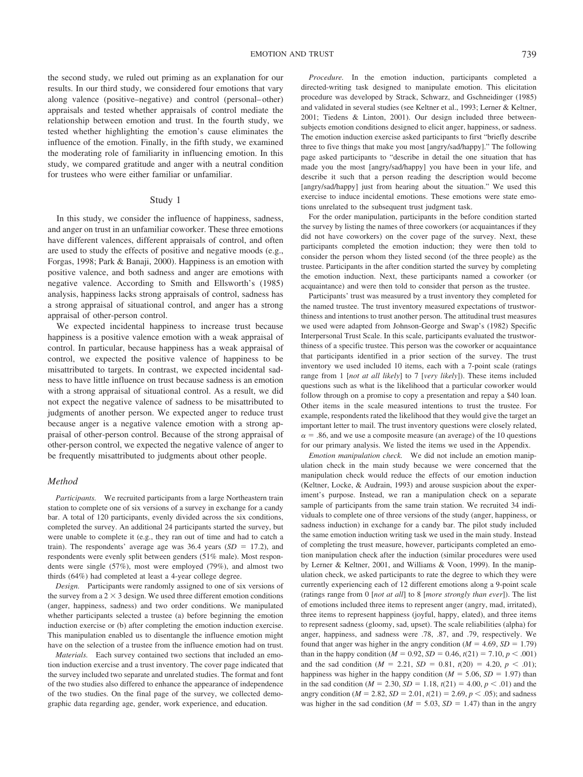the second study, we ruled out priming as an explanation for our results. In our third study, we considered four emotions that vary along valence (positive–negative) and control (personal– other) appraisals and tested whether appraisals of control mediate the relationship between emotion and trust. In the fourth study, we tested whether highlighting the emotion's cause eliminates the influence of the emotion. Finally, in the fifth study, we examined the moderating role of familiarity in influencing emotion. In this study, we compared gratitude and anger with a neutral condition for trustees who were either familiar or unfamiliar.

## Study 1

In this study, we consider the influence of happiness, sadness, and anger on trust in an unfamiliar coworker. These three emotions have different valences, different appraisals of control, and often are used to study the effects of positive and negative moods (e.g., Forgas, 1998; Park & Banaji, 2000). Happiness is an emotion with positive valence, and both sadness and anger are emotions with negative valence. According to Smith and Ellsworth's (1985) analysis, happiness lacks strong appraisals of control, sadness has a strong appraisal of situational control, and anger has a strong appraisal of other-person control.

We expected incidental happiness to increase trust because happiness is a positive valence emotion with a weak appraisal of control. In particular, because happiness has a weak appraisal of control, we expected the positive valence of happiness to be misattributed to targets. In contrast, we expected incidental sadness to have little influence on trust because sadness is an emotion with a strong appraisal of situational control. As a result, we did not expect the negative valence of sadness to be misattributed to judgments of another person. We expected anger to reduce trust because anger is a negative valence emotion with a strong appraisal of other-person control. Because of the strong appraisal of other-person control, we expected the negative valence of anger to be frequently misattributed to judgments about other people.

## *Method*

*Participants.* We recruited participants from a large Northeastern train station to complete one of six versions of a survey in exchange for a candy bar. A total of 120 participants, evenly divided across the six conditions, completed the survey. An additional 24 participants started the survey, but were unable to complete it (e.g., they ran out of time and had to catch a train). The respondents' average age was  $36.4$  years  $(SD = 17.2)$ , and respondents were evenly split between genders (51% male). Most respondents were single (57%), most were employed (79%), and almost two thirds (64%) had completed at least a 4-year college degree.

*Design.* Participants were randomly assigned to one of six versions of the survey from a  $2 \times 3$  design. We used three different emotion conditions (anger, happiness, sadness) and two order conditions. We manipulated whether participants selected a trustee (a) before beginning the emotion induction exercise or (b) after completing the emotion induction exercise. This manipulation enabled us to disentangle the influence emotion might have on the selection of a trustee from the influence emotion had on trust.

*Materials.* Each survey contained two sections that included an emotion induction exercise and a trust inventory. The cover page indicated that the survey included two separate and unrelated studies. The format and font of the two studies also differed to enhance the appearance of independence of the two studies. On the final page of the survey, we collected demographic data regarding age, gender, work experience, and education.

*Procedure.* In the emotion induction, participants completed a directed-writing task designed to manipulate emotion. This elicitation procedure was developed by Strack, Schwarz, and Gschneidinger (1985) and validated in several studies (see Keltner et al., 1993; Lerner & Keltner, 2001; Tiedens & Linton, 2001). Our design included three betweensubjects emotion conditions designed to elicit anger, happiness, or sadness. The emotion induction exercise asked participants to first "briefly describe three to five things that make you most [angry/sad/happy]." The following page asked participants to "describe in detail the one situation that has made you the most [angry/sad/happy] you have been in your life, and describe it such that a person reading the description would become [angry/sad/happy] just from hearing about the situation." We used this exercise to induce incidental emotions. These emotions were state emotions unrelated to the subsequent trust judgment task.

For the order manipulation, participants in the before condition started the survey by listing the names of three coworkers (or acquaintances if they did not have coworkers) on the cover page of the survey. Next, these participants completed the emotion induction; they were then told to consider the person whom they listed second (of the three people) as the trustee. Participants in the after condition started the survey by completing the emotion induction. Next, these participants named a coworker (or acquaintance) and were then told to consider that person as the trustee.

Participants' trust was measured by a trust inventory they completed for the named trustee. The trust inventory measured expectations of trustworthiness and intentions to trust another person. The attitudinal trust measures we used were adapted from Johnson-George and Swap's (1982) Specific Interpersonal Trust Scale. In this scale, participants evaluated the trustworthiness of a specific trustee. This person was the coworker or acquaintance that participants identified in a prior section of the survey. The trust inventory we used included 10 items, each with a 7-point scale (ratings range from 1 [*not at all likely*] to 7 [*very likely*]). These items included questions such as what is the likelihood that a particular coworker would follow through on a promise to copy a presentation and repay a \$40 loan. Other items in the scale measured intentions to trust the trustee. For example, respondents rated the likelihood that they would give the target an important letter to mail. The trust inventory questions were closely related,  $\alpha = .86$ , and we use a composite measure (an average) of the 10 questions for our primary analysis. We listed the items we used in the Appendix.

*Emotion manipulation check.* We did not include an emotion manipulation check in the main study because we were concerned that the manipulation check would reduce the effects of our emotion induction (Keltner, Locke, & Audrain, 1993) and arouse suspicion about the experiment's purpose. Instead, we ran a manipulation check on a separate sample of participants from the same train station. We recruited 34 individuals to complete one of three versions of the study (anger, happiness, or sadness induction) in exchange for a candy bar. The pilot study included the same emotion induction writing task we used in the main study. Instead of completing the trust measure, however, participants completed an emotion manipulation check after the induction (similar procedures were used by Lerner & Keltner, 2001, and Williams & Voon, 1999). In the manipulation check, we asked participants to rate the degree to which they were currently experiencing each of 12 different emotions along a 9-point scale (ratings range from 0 [*not at all*] to 8 [*more strongly than ever*]). The list of emotions included three items to represent anger (angry, mad, irritated), three items to represent happiness (joyful, happy, elated), and three items to represent sadness (gloomy, sad, upset). The scale reliabilities (alpha) for anger, happiness, and sadness were .78, .87, and .79, respectively. We found that anger was higher in the angry condition  $(M = 4.69, SD = 1.79)$ than in the happy condition ( $M = 0.92$ ,  $SD = 0.46$ ,  $t(21) = 7.10$ ,  $p < .001$ ) and the sad condition ( $M = 2.21$ ,  $SD = 0.81$ ,  $t(20) = 4.20$ ,  $p < .01$ ); happiness was higher in the happy condition ( $M = 5.06$ ,  $SD = 1.97$ ) than in the sad condition ( $M = 2.30$ ,  $SD = 1.18$ ,  $t(21) = 4.00$ ,  $p < .01$ ) and the angry condition ( $M = 2.82$ ,  $SD = 2.01$ ,  $t(21) = 2.69$ ,  $p < .05$ ); and sadness was higher in the sad condition ( $M = 5.03$ ,  $SD = 1.47$ ) than in the angry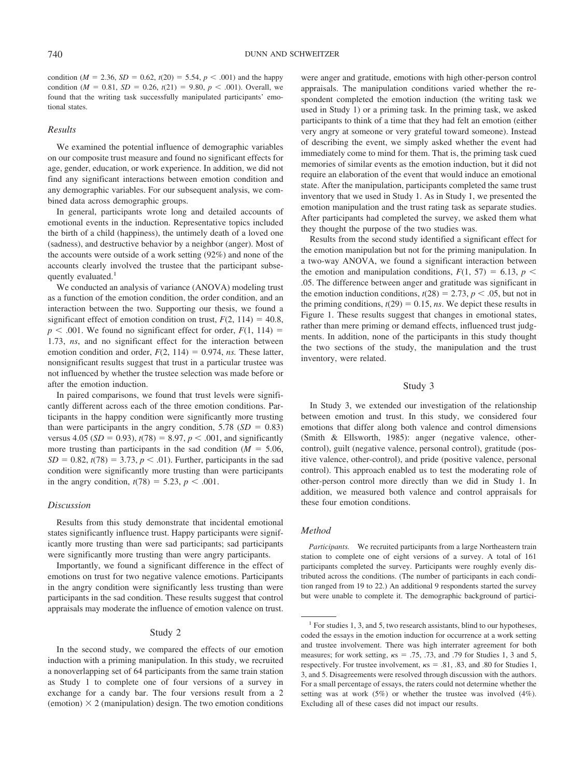condition ( $M = 2.36$ ,  $SD = 0.62$ ,  $t(20) = 5.54$ ,  $p < .001$ ) and the happy condition ( $M = 0.81$ ,  $SD = 0.26$ ,  $t(21) = 9.80$ ,  $p < .001$ ). Overall, we found that the writing task successfully manipulated participants' emotional states.

## *Results*

We examined the potential influence of demographic variables on our composite trust measure and found no significant effects for age, gender, education, or work experience. In addition, we did not find any significant interactions between emotion condition and any demographic variables. For our subsequent analysis, we combined data across demographic groups.

In general, participants wrote long and detailed accounts of emotional events in the induction. Representative topics included the birth of a child (happiness), the untimely death of a loved one (sadness), and destructive behavior by a neighbor (anger). Most of the accounts were outside of a work setting (92%) and none of the accounts clearly involved the trustee that the participant subsequently evaluated.<sup>1</sup>

We conducted an analysis of variance (ANOVA) modeling trust as a function of the emotion condition, the order condition, and an interaction between the two. Supporting our thesis, we found a significant effect of emotion condition on trust,  $F(2, 114) = 40.8$ ,  $p \leq .001$ . We found no significant effect for order,  $F(1, 114) =$ 1.73, *ns*, and no significant effect for the interaction between emotion condition and order,  $F(2, 114) = 0.974$ , *ns.* These latter, nonsignificant results suggest that trust in a particular trustee was not influenced by whether the trustee selection was made before or after the emotion induction.

In paired comparisons, we found that trust levels were significantly different across each of the three emotion conditions. Participants in the happy condition were significantly more trusting than were participants in the angry condition,  $5.78$  (*SD* = 0.83) versus 4.05 (*SD* = 0.93),  $t(78) = 8.97$ ,  $p < .001$ , and significantly more trusting than participants in the sad condition  $(M = 5.06,$  $SD = 0.82$ ,  $t(78) = 3.73$ ,  $p < .01$ ). Further, participants in the sad condition were significantly more trusting than were participants in the angry condition,  $t(78) = 5.23$ ,  $p < .001$ .

## *Discussion*

Results from this study demonstrate that incidental emotional states significantly influence trust. Happy participants were significantly more trusting than were sad participants; sad participants were significantly more trusting than were angry participants.

Importantly, we found a significant difference in the effect of emotions on trust for two negative valence emotions. Participants in the angry condition were significantly less trusting than were participants in the sad condition. These results suggest that control appraisals may moderate the influence of emotion valence on trust.

## Study 2

In the second study, we compared the effects of our emotion induction with a priming manipulation. In this study, we recruited a nonoverlapping set of 64 participants from the same train station as Study 1 to complete one of four versions of a survey in exchange for a candy bar. The four versions result from a 2 (emotion)  $\times$  2 (manipulation) design. The two emotion conditions

were anger and gratitude, emotions with high other-person control appraisals. The manipulation conditions varied whether the respondent completed the emotion induction (the writing task we used in Study 1) or a priming task. In the priming task, we asked participants to think of a time that they had felt an emotion (either very angry at someone or very grateful toward someone). Instead of describing the event, we simply asked whether the event had immediately come to mind for them. That is, the priming task cued memories of similar events as the emotion induction, but it did not require an elaboration of the event that would induce an emotional state. After the manipulation, participants completed the same trust inventory that we used in Study 1. As in Study 1, we presented the emotion manipulation and the trust rating task as separate studies. After participants had completed the survey, we asked them what they thought the purpose of the two studies was.

Results from the second study identified a significant effect for the emotion manipulation but not for the priming manipulation. In a two-way ANOVA, we found a significant interaction between the emotion and manipulation conditions,  $F(1, 57) = 6.13$ ,  $p <$ .05. The difference between anger and gratitude was significant in the emotion induction conditions,  $t(28) = 2.73$ ,  $p < .05$ , but not in the priming conditions,  $t(29) = 0.15$ , *ns*. We depict these results in Figure 1. These results suggest that changes in emotional states, rather than mere priming or demand effects, influenced trust judgments. In addition, none of the participants in this study thought the two sections of the study, the manipulation and the trust inventory, were related.

## Study 3

In Study 3, we extended our investigation of the relationship between emotion and trust. In this study, we considered four emotions that differ along both valence and control dimensions (Smith & Ellsworth, 1985): anger (negative valence, othercontrol), guilt (negative valence, personal control), gratitude (positive valence, other-control), and pride (positive valence, personal control). This approach enabled us to test the moderating role of other-person control more directly than we did in Study 1. In addition, we measured both valence and control appraisals for these four emotion conditions.

#### *Method*

*Participants.* We recruited participants from a large Northeastern train station to complete one of eight versions of a survey. A total of 161 participants completed the survey. Participants were roughly evenly distributed across the conditions. (The number of participants in each condition ranged from 19 to 22.) An additional 9 respondents started the survey but were unable to complete it. The demographic background of partici-

<sup>&</sup>lt;sup>1</sup> For studies 1, 3, and 5, two research assistants, blind to our hypotheses, coded the essays in the emotion induction for occurrence at a work setting and trustee involvement. There was high interrater agreement for both measures; for work setting,  $\kappa s = .75, .73,$  and .79 for Studies 1, 3 and 5, respectively. For trustee involvement,  $\kappa s = .81, .83,$  and .80 for Studies 1, 3, and 5. Disagreements were resolved through discussion with the authors. For a small percentage of essays, the raters could not determine whether the setting was at work (5%) or whether the trustee was involved (4%). Excluding all of these cases did not impact our results.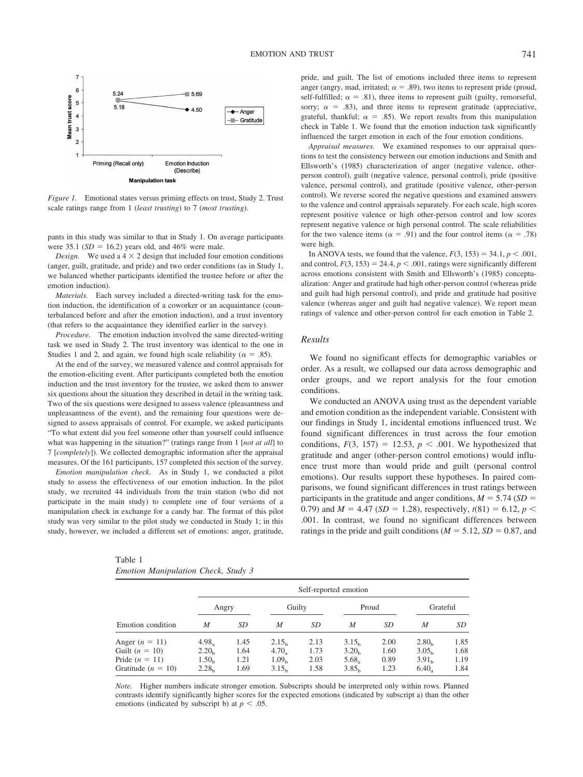

*Figure 1.* Emotional states versus priming effects on trust, Study 2. Trust scale ratings range from 1 (*least trusting*) to 7 (*most trusting*).

pants in this study was similar to that in Study 1. On average participants were 35.1 ( $SD = 16.2$ ) years old, and 46% were male.

*Design.* We used a  $4 \times 2$  design that included four emotion conditions (anger, guilt, gratitude, and pride) and two order conditions (as in Study 1, we balanced whether participants identified the trustee before or after the emotion induction).

*Materials.* Each survey included a directed-writing task for the emotion induction, the identification of a coworker or an acquaintance (counterbalanced before and after the emotion induction), and a trust inventory (that refers to the acquaintance they identified earlier in the survey).

*Procedure.* The emotion induction involved the same directed-writing task we used in Study 2. The trust inventory was identical to the one in Studies 1 and 2, and again, we found high scale reliability ( $\alpha = .85$ ).

At the end of the survey, we measured valence and control appraisals for the emotion-eliciting event. After participants completed both the emotion induction and the trust inventory for the trustee, we asked them to answer six questions about the situation they described in detail in the writing task. Two of the six questions were designed to assess valence (pleasantness and unpleasantness of the event), and the remaining four questions were designed to assess appraisals of control. For example, we asked participants "To what extent did you feel someone other than yourself could influence what was happening in the situation?" (ratings range from 1 [*not at all*] to 7 [*completely*]). We collected demographic information after the appraisal measures. Of the 161 participants, 157 completed this section of the survey.

*Emotion manipulation check.* As in Study 1, we conducted a pilot study to assess the effectiveness of our emotion induction. In the pilot study, we recruited 44 individuals from the train station (who did not participate in the main study) to complete one of four versions of a manipulation check in exchange for a candy bar. The format of this pilot study was very similar to the pilot study we conducted in Study 1; in this study, however, we included a different set of emotions: anger, gratitude,

Table 1 *Emotion Manipulation Check, Study 3*

pride, and guilt. The list of emotions included three items to represent anger (angry, mad, irritated;  $\alpha = .89$ ), two items to represent pride (proud, self-fulfilled;  $\alpha = .81$ ), three items to represent guilt (guilty, remorseful, sorry;  $\alpha$  = .83), and three items to represent gratitude (appreciative, grateful, thankful;  $\alpha = .85$ ). We report results from this manipulation check in Table 1. We found that the emotion induction task significantly influenced the target emotion in each of the four emotion conditions.

*Appraisal measures.* We examined responses to our appraisal questions to test the consistency between our emotion inductions and Smith and Ellsworth's (1985) characterization of anger (negative valence, otherperson control), guilt (negative valence, personal control), pride (positive valence, personal control), and gratitude (positive valence, other-person control). We reverse scored the negative questions and examined answers to the valence and control appraisals separately. For each scale, high scores represent positive valence or high other-person control and low scores represent negative valence or high personal control. The scale reliabilities for the two valence items ( $\alpha = .91$ ) and the four control items ( $\alpha = .78$ ) were high.

In ANOVA tests, we found that the valence,  $F(3, 153) = 34.1, p < .001$ , and control,  $F(3, 153) = 24.4, p < .001$ , ratings were significantly different across emotions consistent with Smith and Ellsworth's (1985) conceptualization: Anger and gratitude had high other-person control (whereas pride and guilt had high personal control), and pride and gratitude had positive valence (whereas anger and guilt had negative valence). We report mean ratings of valence and other-person control for each emotion in Table 2.

## *Results*

We found no significant effects for demographic variables or order. As a result, we collapsed our data across demographic and order groups, and we report analysis for the four emotion conditions.

We conducted an ANOVA using trust as the dependent variable and emotion condition as the independent variable. Consistent with our findings in Study 1, incidental emotions influenced trust. We found significant differences in trust across the four emotion conditions,  $F(3, 157) = 12.53$ ,  $p < .001$ . We hypothesized that gratitude and anger (other-person control emotions) would influence trust more than would pride and guilt (personal control emotions). Our results support these hypotheses. In paired comparisons, we found significant differences in trust ratings between participants in the gratitude and anger conditions,  $M = 5.74$  (*SD* = 0.79) and  $M = 4.47$  (*SD* = 1.28), respectively,  $t(81) = 6.12$ ,  $p <$ .001. In contrast, we found no significant differences between ratings in the pride and guilt conditions ( $M = 5.12$ ,  $SD = 0.87$ , and

|                                                                                    |                                                                      | Self-reported emotion        |                                                                                    |                              |                                                                      |                              |                                                                     |                              |  |
|------------------------------------------------------------------------------------|----------------------------------------------------------------------|------------------------------|------------------------------------------------------------------------------------|------------------------------|----------------------------------------------------------------------|------------------------------|---------------------------------------------------------------------|------------------------------|--|
|                                                                                    | Angry                                                                |                              | Guilty                                                                             |                              | Proud                                                                |                              | Grateful                                                            |                              |  |
| Emotion condition                                                                  | M                                                                    | SD                           | M                                                                                  | SD                           | M                                                                    | SD                           | M                                                                   | SD                           |  |
| Anger $(n = 11)$<br>Guilt $(n = 10)$<br>Pride $(n = 11)$<br>Gratitude ( $n = 10$ ) | 4.98.<br>2.20 <sub>b</sub><br>1.50 <sub>b</sub><br>2.28 <sub>b</sub> | 1.45<br>1.64<br>1.21<br>1.69 | 2.15 <sub>b</sub><br>$4.70$ <sub>2</sub><br>1.09 <sub>b</sub><br>3.15 <sub>b</sub> | 2.13<br>1.73<br>2.03<br>1.58 | 3.15 <sub>b</sub><br>3.20 <sub>b</sub><br>5.68.<br>3.85 <sub>b</sub> | 2.00<br>1.60<br>0.89<br>1.23 | 2.80 <sub>b</sub><br>3.05 <sub>b</sub><br>3.91 <sub>b</sub><br>6.40 | 1.85<br>1.68<br>1.19<br>1.84 |  |

*Note.* Higher numbers indicate stronger emotion. Subscripts should be interpreted only within rows. Planned contrasts identify significantly higher scores for the expected emotions (indicated by subscript a) than the other emotions (indicated by subscript b) at  $p < .05$ .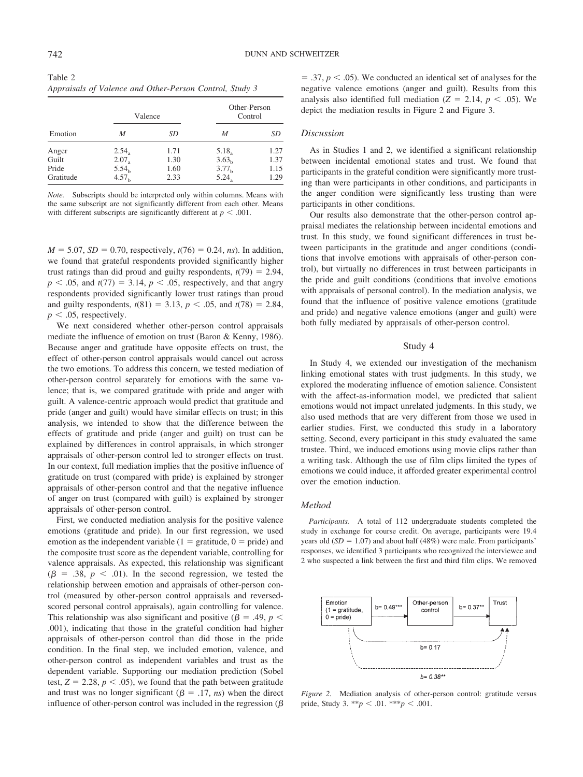Table 2 *Appraisals of Valence and Other-Person Control, Study 3*

|                                      | Valence                                                        |                              | Other-Person<br>Control                                    |                              |  |
|--------------------------------------|----------------------------------------------------------------|------------------------------|------------------------------------------------------------|------------------------------|--|
| Emotion                              | M                                                              | SD                           | M                                                          | SD                           |  |
| Anger<br>Guilt<br>Pride<br>Gratitude | $2.54_a$<br>$2.07_a$<br>5.54 <sub>b</sub><br>4.57 <sub>b</sub> | 1.71<br>1.30<br>1.60<br>2.33 | $5.18_a$<br>3.63 <sub>h</sub><br>3.77 <sub>b</sub><br>5.24 | 1.27<br>1.37<br>1.15<br>1.29 |  |

*Note.* Subscripts should be interpreted only within columns. Means with the same subscript are not significantly different from each other. Means with different subscripts are significantly different at  $p < .001$ .

 $M = 5.07$ ,  $SD = 0.70$ , respectively,  $t(76) = 0.24$ , *ns*). In addition, we found that grateful respondents provided significantly higher trust ratings than did proud and guilty respondents,  $t(79) = 2.94$ ,  $p \leq .05$ , and  $t(77) = 3.14$ ,  $p \leq .05$ , respectively, and that angry respondents provided significantly lower trust ratings than proud and guilty respondents,  $t(81) = 3.13$ ,  $p < .05$ , and  $t(78) = 2.84$ ,  $p < .05$ , respectively.

We next considered whether other-person control appraisals mediate the influence of emotion on trust (Baron & Kenny, 1986). Because anger and gratitude have opposite effects on trust, the effect of other-person control appraisals would cancel out across the two emotions. To address this concern, we tested mediation of other-person control separately for emotions with the same valence; that is, we compared gratitude with pride and anger with guilt. A valence-centric approach would predict that gratitude and pride (anger and guilt) would have similar effects on trust; in this analysis, we intended to show that the difference between the effects of gratitude and pride (anger and guilt) on trust can be explained by differences in control appraisals, in which stronger appraisals of other-person control led to stronger effects on trust. In our context, full mediation implies that the positive influence of gratitude on trust (compared with pride) is explained by stronger appraisals of other-person control and that the negative influence of anger on trust (compared with guilt) is explained by stronger appraisals of other-person control.

First, we conducted mediation analysis for the positive valence emotions (gratitude and pride). In our first regression, we used emotion as the independent variable ( $1 =$  gratitude,  $0 =$  pride) and the composite trust score as the dependent variable, controlling for valence appraisals. As expected, this relationship was significant  $(\beta = .38, p < .01)$ . In the second regression, we tested the relationship between emotion and appraisals of other-person control (measured by other-person control appraisals and reversedscored personal control appraisals), again controlling for valence. This relationship was also significant and positive ( $\beta$  = .49,  $p$  < .001), indicating that those in the grateful condition had higher appraisals of other-person control than did those in the pride condition. In the final step, we included emotion, valence, and other-person control as independent variables and trust as the dependent variable. Supporting our mediation prediction (Sobel test,  $Z = 2.28$ ,  $p < .05$ ), we found that the path between gratitude and trust was no longer significant ( $\beta = .17$ , *ns*) when the direct influence of other-person control was included in the regression  $(\beta$   $= .37, p < .05$ ). We conducted an identical set of analyses for the negative valence emotions (anger and guilt). Results from this analysis also identified full mediation ( $Z = 2.14$ ,  $p < .05$ ). We depict the mediation results in Figure 2 and Figure 3.

## *Discussion*

As in Studies 1 and 2, we identified a significant relationship between incidental emotional states and trust. We found that participants in the grateful condition were significantly more trusting than were participants in other conditions, and participants in the anger condition were significantly less trusting than were participants in other conditions.

Our results also demonstrate that the other-person control appraisal mediates the relationship between incidental emotions and trust. In this study, we found significant differences in trust between participants in the gratitude and anger conditions (conditions that involve emotions with appraisals of other-person control), but virtually no differences in trust between participants in the pride and guilt conditions (conditions that involve emotions with appraisals of personal control). In the mediation analysis, we found that the influence of positive valence emotions (gratitude and pride) and negative valence emotions (anger and guilt) were both fully mediated by appraisals of other-person control.

#### Study 4

In Study 4, we extended our investigation of the mechanism linking emotional states with trust judgments. In this study, we explored the moderating influence of emotion salience. Consistent with the affect-as-information model, we predicted that salient emotions would not impact unrelated judgments. In this study, we also used methods that are very different from those we used in earlier studies. First, we conducted this study in a laboratory setting. Second, every participant in this study evaluated the same trustee. Third, we induced emotions using movie clips rather than a writing task. Although the use of film clips limited the types of emotions we could induce, it afforded greater experimental control over the emotion induction.

## *Method*

*Participants.* A total of 112 undergraduate students completed the study in exchange for course credit. On average, participants were 19.4 years old  $(SD = 1.07)$  and about half (48%) were male. From participants' responses, we identified 3 participants who recognized the interviewee and 2 who suspected a link between the first and third film clips. We removed



*Figure 2.* Mediation analysis of other-person control: gratitude versus pride, Study 3. \*\**p* < .01. \*\*\**p* < .001.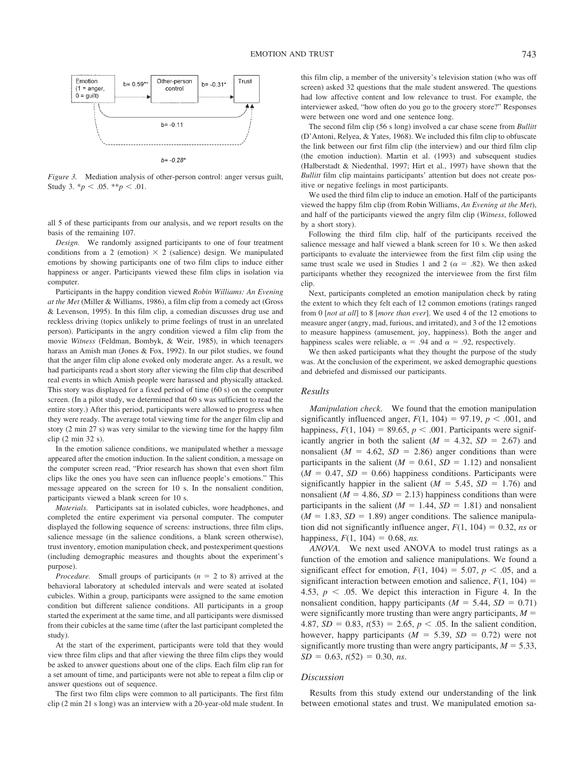

 $b = -0.28$ 

*Figure 3.* Mediation analysis of other-person control: anger versus guilt, Study 3.  $\frac{p}{q}$  < .05.  $\frac{p}{q}$  < .01.

all 5 of these participants from our analysis, and we report results on the basis of the remaining 107.

*Design.* We randomly assigned participants to one of four treatment conditions from a 2 (emotion)  $\times$  2 (salience) design. We manipulated emotions by showing participants one of two film clips to induce either happiness or anger. Participants viewed these film clips in isolation via computer.

Participants in the happy condition viewed *Robin Williams: An Evening at the Met* (Miller & Williams, 1986), a film clip from a comedy act (Gross & Levenson, 1995). In this film clip, a comedian discusses drug use and reckless driving (topics unlikely to prime feelings of trust in an unrelated person). Participants in the angry condition viewed a film clip from the movie *Witness* (Feldman, Bombyk, & Weir, 1985), in which teenagers harass an Amish man (Jones & Fox, 1992). In our pilot studies, we found that the anger film clip alone evoked only moderate anger. As a result, we had participants read a short story after viewing the film clip that described real events in which Amish people were harassed and physically attacked. This story was displayed for a fixed period of time (60 s) on the computer screen. (In a pilot study, we determined that 60 s was sufficient to read the entire story.) After this period, participants were allowed to progress when they were ready. The average total viewing time for the anger film clip and story (2 min 27 s) was very similar to the viewing time for the happy film clip (2 min 32 s).

In the emotion salience conditions, we manipulated whether a message appeared after the emotion induction. In the salient condition, a message on the computer screen read, "Prior research has shown that even short film clips like the ones you have seen can influence people's emotions." This message appeared on the screen for 10 s. In the nonsalient condition, participants viewed a blank screen for 10 s.

*Materials.* Participants sat in isolated cubicles, wore headphones, and completed the entire experiment via personal computer. The computer displayed the following sequence of screens: instructions, three film clips, salience message (in the salience conditions, a blank screen otherwise), trust inventory, emotion manipulation check, and postexperiment questions (including demographic measures and thoughts about the experiment's purpose).

*Procedure.* Small groups of participants ( $n = 2$  to 8) arrived at the behavioral laboratory at scheduled intervals and were seated at isolated cubicles. Within a group, participants were assigned to the same emotion condition but different salience conditions. All participants in a group started the experiment at the same time, and all participants were dismissed from their cubicles at the same time (after the last participant completed the study).

At the start of the experiment, participants were told that they would view three film clips and that after viewing the three film clips they would be asked to answer questions about one of the clips. Each film clip ran for a set amount of time, and participants were not able to repeat a film clip or answer questions out of sequence.

The first two film clips were common to all participants. The first film clip (2 min 21 s long) was an interview with a 20-year-old male student. In this film clip, a member of the university's television station (who was off screen) asked 32 questions that the male student answered. The questions had low affective content and low relevance to trust. For example, the interviewer asked, "how often do you go to the grocery store?" Responses were between one word and one sentence long.

The second film clip (56 s long) involved a car chase scene from *Bullitt* (D'Antoni, Relyea, & Yates, 1968). We included this film clip to obfuscate the link between our first film clip (the interview) and our third film clip (the emotion induction). Martin et al. (1993) and subsequent studies (Halberstadt & Niedenthal, 1997; Hirt et al., 1997) have shown that the *Bullitt* film clip maintains participants' attention but does not create positive or negative feelings in most participants.

We used the third film clip to induce an emotion. Half of the participants viewed the happy film clip (from Robin Williams, *An Evening at the Met*), and half of the participants viewed the angry film clip (*Witness*, followed by a short story).

Following the third film clip, half of the participants received the salience message and half viewed a blank screen for 10 s. We then asked participants to evaluate the interviewee from the first film clip using the same trust scale we used in Studies 1 and 2 ( $\alpha$  = .82). We then asked participants whether they recognized the interviewee from the first film clip.

Next, participants completed an emotion manipulation check by rating the extent to which they felt each of 12 common emotions (ratings ranged from 0 [*not at all*] to 8 [*more than ever*]. We used 4 of the 12 emotions to measure anger (angry, mad, furious, and irritated), and 3 of the 12 emotions to measure happiness (amusement, joy, happiness). Both the anger and happiness scales were reliable,  $\alpha = .94$  and  $\alpha = .92$ , respectively.

We then asked participants what they thought the purpose of the study was. At the conclusion of the experiment, we asked demographic questions and debriefed and dismissed our participants.

## *Results*

*Manipulation check.* We found that the emotion manipulation significantly influenced anger,  $F(1, 104) = 97.19$ ,  $p < .001$ , and happiness,  $F(1, 104) = 89.65$ ,  $p < .001$ . Participants were significantly angrier in both the salient  $(M = 4.32, SD = 2.67)$  and nonsalient ( $M = 4.62$ ,  $SD = 2.86$ ) anger conditions than were participants in the salient  $(M = 0.61, SD = 1.12)$  and nonsalient  $(M = 0.47, SD = 0.66)$  happiness conditions. Participants were significantly happier in the salient  $(M = 5.45, SD = 1.76)$  and nonsalient ( $M = 4.86$ ,  $SD = 2.13$ ) happiness conditions than were participants in the salient  $(M = 1.44, SD = 1.81)$  and nonsalient  $(M = 1.83, SD = 1.89)$  anger conditions. The salience manipulation did not significantly influence anger,  $F(1, 104) = 0.32$ , *ns* or happiness,  $F(1, 104) = 0.68$ , *ns.* 

*ANOVA.* We next used ANOVA to model trust ratings as a function of the emotion and salience manipulations. We found a significant effect for emotion,  $F(1, 104) = 5.07$ ,  $p < .05$ , and a significant interaction between emotion and salience,  $F(1, 104) =$ 4.53,  $p < .05$ . We depict this interaction in Figure 4. In the nonsalient condition, happy participants  $(M = 5.44, SD = 0.71)$ were significantly more trusting than were angry participants,  $M =$ 4.87,  $SD = 0.83$ ,  $t(53) = 2.65$ ,  $p < .05$ . In the salient condition, however, happy participants  $(M = 5.39, SD = 0.72)$  were not significantly more trusting than were angry participants,  $M = 5.33$ ,  $SD = 0.63$ ,  $t(52) = 0.30$ , *ns*.

#### *Discussion*

Results from this study extend our understanding of the link between emotional states and trust. We manipulated emotion sa-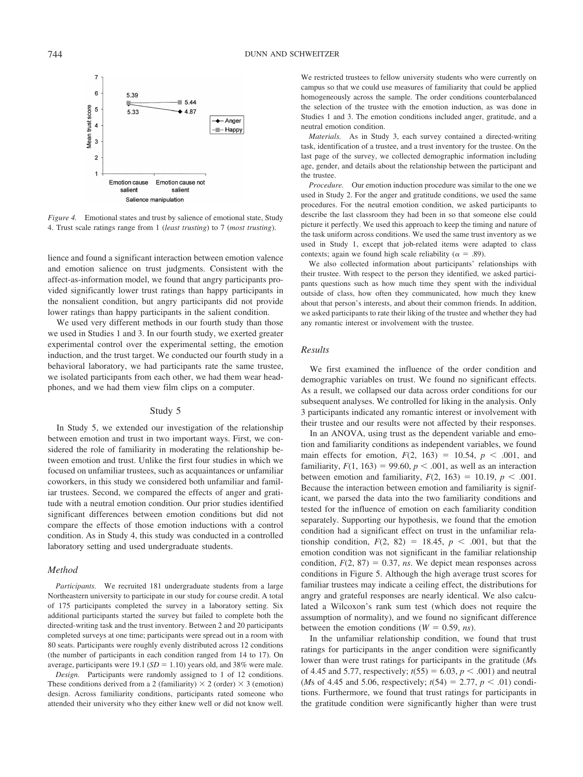

*Figure 4.* Emotional states and trust by salience of emotional state, Study 4. Trust scale ratings range from 1 (*least trusting*) to 7 (*most trusting*).

lience and found a significant interaction between emotion valence and emotion salience on trust judgments. Consistent with the affect-as-information model, we found that angry participants provided significantly lower trust ratings than happy participants in the nonsalient condition, but angry participants did not provide lower ratings than happy participants in the salient condition.

We used very different methods in our fourth study than those we used in Studies 1 and 3. In our fourth study, we exerted greater experimental control over the experimental setting, the emotion induction, and the trust target. We conducted our fourth study in a behavioral laboratory, we had participants rate the same trustee, we isolated participants from each other, we had them wear headphones, and we had them view film clips on a computer.

#### Study 5

In Study 5, we extended our investigation of the relationship between emotion and trust in two important ways. First, we considered the role of familiarity in moderating the relationship between emotion and trust. Unlike the first four studies in which we focused on unfamiliar trustees, such as acquaintances or unfamiliar coworkers, in this study we considered both unfamiliar and familiar trustees. Second, we compared the effects of anger and gratitude with a neutral emotion condition. Our prior studies identified significant differences between emotion conditions but did not compare the effects of those emotion inductions with a control condition. As in Study 4, this study was conducted in a controlled laboratory setting and used undergraduate students.

#### *Method*

*Participants.* We recruited 181 undergraduate students from a large Northeastern university to participate in our study for course credit. A total of 175 participants completed the survey in a laboratory setting. Six additional participants started the survey but failed to complete both the directed-writing task and the trust inventory. Between 2 and 20 participants completed surveys at one time; participants were spread out in a room with 80 seats. Participants were roughly evenly distributed across 12 conditions (the number of participants in each condition ranged from 14 to 17). On average, participants were 19.1 ( $SD = 1.10$ ) years old, and 38% were male.

*Design.* Participants were randomly assigned to 1 of 12 conditions. These conditions derived from a 2 (familiarity)  $\times$  2 (order)  $\times$  3 (emotion) design. Across familiarity conditions, participants rated someone who attended their university who they either knew well or did not know well.

We restricted trustees to fellow university students who were currently on campus so that we could use measures of familiarity that could be applied homogeneously across the sample. The order conditions counterbalanced the selection of the trustee with the emotion induction, as was done in Studies 1 and 3. The emotion conditions included anger, gratitude, and a neutral emotion condition.

*Materials.* As in Study 3, each survey contained a directed-writing task, identification of a trustee, and a trust inventory for the trustee. On the last page of the survey, we collected demographic information including age, gender, and details about the relationship between the participant and the trustee.

*Procedure.* Our emotion induction procedure was similar to the one we used in Study 2. For the anger and gratitude conditions, we used the same procedures. For the neutral emotion condition, we asked participants to describe the last classroom they had been in so that someone else could picture it perfectly. We used this approach to keep the timing and nature of the task uniform across conditions. We used the same trust inventory as we used in Study 1, except that job-related items were adapted to class contexts; again we found high scale reliability ( $\alpha = .89$ ).

We also collected information about participants' relationships with their trustee. With respect to the person they identified, we asked participants questions such as how much time they spent with the individual outside of class, how often they communicated, how much they knew about that person's interests, and about their common friends. In addition, we asked participants to rate their liking of the trustee and whether they had any romantic interest or involvement with the trustee.

## *Results*

We first examined the influence of the order condition and demographic variables on trust. We found no significant effects. As a result, we collapsed our data across order conditions for our subsequent analyses. We controlled for liking in the analysis. Only 3 participants indicated any romantic interest or involvement with their trustee and our results were not affected by their responses.

In an ANOVA, using trust as the dependent variable and emotion and familiarity conditions as independent variables, we found main effects for emotion,  $F(2, 163) = 10.54$ ,  $p < .001$ , and familiarity,  $F(1, 163) = 99.60$ ,  $p < .001$ , as well as an interaction between emotion and familiarity,  $F(2, 163) = 10.19$ ,  $p < .001$ . Because the interaction between emotion and familiarity is significant, we parsed the data into the two familiarity conditions and tested for the influence of emotion on each familiarity condition separately. Supporting our hypothesis, we found that the emotion condition had a significant effect on trust in the unfamiliar relationship condition,  $F(2, 82) = 18.45$ ,  $p < .001$ , but that the emotion condition was not significant in the familiar relationship condition,  $F(2, 87) = 0.37$ , *ns*. We depict mean responses across conditions in Figure 5. Although the high average trust scores for familiar trustees may indicate a ceiling effect, the distributions for angry and grateful responses are nearly identical. We also calculated a Wilcoxon's rank sum test (which does not require the assumption of normality), and we found no significant difference between the emotion conditions ( $W = 0.59$ , *ns*).

In the unfamiliar relationship condition, we found that trust ratings for participants in the anger condition were significantly lower than were trust ratings for participants in the gratitude (*M*s of 4.45 and 5.77, respectively;  $t(55) = 6.03$ ,  $p < .001$ ) and neutral (*Ms* of 4.45 and 5.06, respectively;  $t(54) = 2.77$ ,  $p < .01$ ) conditions. Furthermore, we found that trust ratings for participants in the gratitude condition were significantly higher than were trust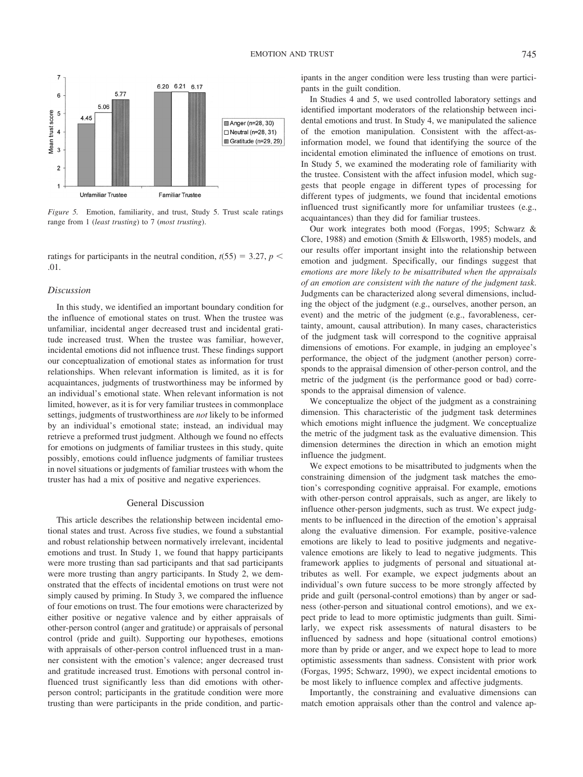

*Figure 5.* Emotion, familiarity, and trust, Study 5. Trust scale ratings range from 1 (*least trusting*) to 7 (*most trusting*).

ratings for participants in the neutral condition,  $t(55) = 3.27$ ,  $p <$ .01.

#### *Discussion*

In this study, we identified an important boundary condition for the influence of emotional states on trust. When the trustee was unfamiliar, incidental anger decreased trust and incidental gratitude increased trust. When the trustee was familiar, however, incidental emotions did not influence trust. These findings support our conceptualization of emotional states as information for trust relationships. When relevant information is limited, as it is for acquaintances, judgments of trustworthiness may be informed by an individual's emotional state. When relevant information is not limited, however, as it is for very familiar trustees in commonplace settings, judgments of trustworthiness are *not* likely to be informed by an individual's emotional state; instead, an individual may retrieve a preformed trust judgment. Although we found no effects for emotions on judgments of familiar trustees in this study, quite possibly, emotions could influence judgments of familiar trustees in novel situations or judgments of familiar trustees with whom the truster has had a mix of positive and negative experiences.

## General Discussion

This article describes the relationship between incidental emotional states and trust. Across five studies, we found a substantial and robust relationship between normatively irrelevant, incidental emotions and trust. In Study 1, we found that happy participants were more trusting than sad participants and that sad participants were more trusting than angry participants. In Study 2, we demonstrated that the effects of incidental emotions on trust were not simply caused by priming. In Study 3, we compared the influence of four emotions on trust. The four emotions were characterized by either positive or negative valence and by either appraisals of other-person control (anger and gratitude) or appraisals of personal control (pride and guilt). Supporting our hypotheses, emotions with appraisals of other-person control influenced trust in a manner consistent with the emotion's valence; anger decreased trust and gratitude increased trust. Emotions with personal control influenced trust significantly less than did emotions with otherperson control; participants in the gratitude condition were more trusting than were participants in the pride condition, and participants in the anger condition were less trusting than were participants in the guilt condition.

In Studies 4 and 5, we used controlled laboratory settings and identified important moderators of the relationship between incidental emotions and trust. In Study 4, we manipulated the salience of the emotion manipulation. Consistent with the affect-asinformation model, we found that identifying the source of the incidental emotion eliminated the influence of emotions on trust. In Study 5, we examined the moderating role of familiarity with the trustee. Consistent with the affect infusion model, which suggests that people engage in different types of processing for different types of judgments, we found that incidental emotions influenced trust significantly more for unfamiliar trustees (e.g., acquaintances) than they did for familiar trustees.

Our work integrates both mood (Forgas, 1995; Schwarz & Clore, 1988) and emotion (Smith & Ellsworth, 1985) models, and our results offer important insight into the relationship between emotion and judgment. Specifically, our findings suggest that *emotions are more likely to be misattributed when the appraisals of an emotion are consistent with the nature of the judgment task*. Judgments can be characterized along several dimensions, including the object of the judgment (e.g., ourselves, another person, an event) and the metric of the judgment (e.g., favorableness, certainty, amount, causal attribution). In many cases, characteristics of the judgment task will correspond to the cognitive appraisal dimensions of emotions. For example, in judging an employee's performance, the object of the judgment (another person) corresponds to the appraisal dimension of other-person control, and the metric of the judgment (is the performance good or bad) corresponds to the appraisal dimension of valence.

We conceptualize the object of the judgment as a constraining dimension. This characteristic of the judgment task determines which emotions might influence the judgment. We conceptualize the metric of the judgment task as the evaluative dimension. This dimension determines the direction in which an emotion might influence the judgment.

We expect emotions to be misattributed to judgments when the constraining dimension of the judgment task matches the emotion's corresponding cognitive appraisal. For example, emotions with other-person control appraisals, such as anger, are likely to influence other-person judgments, such as trust. We expect judgments to be influenced in the direction of the emotion's appraisal along the evaluative dimension. For example, positive-valence emotions are likely to lead to positive judgments and negativevalence emotions are likely to lead to negative judgments. This framework applies to judgments of personal and situational attributes as well. For example, we expect judgments about an individual's own future success to be more strongly affected by pride and guilt (personal-control emotions) than by anger or sadness (other-person and situational control emotions), and we expect pride to lead to more optimistic judgments than guilt. Similarly, we expect risk assessments of natural disasters to be influenced by sadness and hope (situational control emotions) more than by pride or anger, and we expect hope to lead to more optimistic assessments than sadness. Consistent with prior work (Forgas, 1995; Schwarz, 1990), we expect incidental emotions to be most likely to influence complex and affective judgments.

Importantly, the constraining and evaluative dimensions can match emotion appraisals other than the control and valence ap-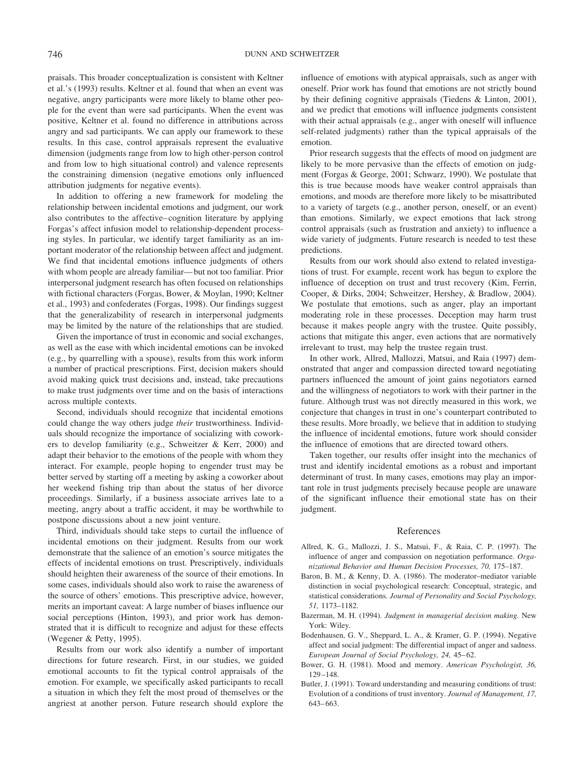praisals. This broader conceptualization is consistent with Keltner et al.'s (1993) results. Keltner et al. found that when an event was negative, angry participants were more likely to blame other people for the event than were sad participants. When the event was positive, Keltner et al. found no difference in attributions across angry and sad participants. We can apply our framework to these results. In this case, control appraisals represent the evaluative dimension (judgments range from low to high other-person control and from low to high situational control) and valence represents the constraining dimension (negative emotions only influenced attribution judgments for negative events).

In addition to offering a new framework for modeling the relationship between incidental emotions and judgment, our work also contributes to the affective– cognition literature by applying Forgas's affect infusion model to relationship-dependent processing styles. In particular, we identify target familiarity as an important moderator of the relationship between affect and judgment. We find that incidental emotions influence judgments of others with whom people are already familiar— but not too familiar. Prior interpersonal judgment research has often focused on relationships with fictional characters (Forgas, Bower, & Moylan, 1990; Keltner et al., 1993) and confederates (Forgas, 1998). Our findings suggest that the generalizability of research in interpersonal judgments may be limited by the nature of the relationships that are studied.

Given the importance of trust in economic and social exchanges, as well as the ease with which incidental emotions can be invoked (e.g., by quarrelling with a spouse), results from this work inform a number of practical prescriptions. First, decision makers should avoid making quick trust decisions and, instead, take precautions to make trust judgments over time and on the basis of interactions across multiple contexts.

Second, individuals should recognize that incidental emotions could change the way others judge *their* trustworthiness. Individuals should recognize the importance of socializing with coworkers to develop familiarity (e.g., Schweitzer & Kerr, 2000) and adapt their behavior to the emotions of the people with whom they interact. For example, people hoping to engender trust may be better served by starting off a meeting by asking a coworker about her weekend fishing trip than about the status of her divorce proceedings. Similarly, if a business associate arrives late to a meeting, angry about a traffic accident, it may be worthwhile to postpone discussions about a new joint venture.

Third, individuals should take steps to curtail the influence of incidental emotions on their judgment. Results from our work demonstrate that the salience of an emotion's source mitigates the effects of incidental emotions on trust. Prescriptively, individuals should heighten their awareness of the source of their emotions. In some cases, individuals should also work to raise the awareness of the source of others' emotions. This prescriptive advice, however, merits an important caveat: A large number of biases influence our social perceptions (Hinton, 1993), and prior work has demonstrated that it is difficult to recognize and adjust for these effects (Wegener & Petty, 1995).

Results from our work also identify a number of important directions for future research. First, in our studies, we guided emotional accounts to fit the typical control appraisals of the emotion. For example, we specifically asked participants to recall a situation in which they felt the most proud of themselves or the angriest at another person. Future research should explore the influence of emotions with atypical appraisals, such as anger with oneself. Prior work has found that emotions are not strictly bound by their defining cognitive appraisals (Tiedens & Linton, 2001), and we predict that emotions will influence judgments consistent with their actual appraisals (e.g., anger with oneself will influence self-related judgments) rather than the typical appraisals of the emotion.

Prior research suggests that the effects of mood on judgment are likely to be more pervasive than the effects of emotion on judgment (Forgas & George, 2001; Schwarz, 1990). We postulate that this is true because moods have weaker control appraisals than emotions, and moods are therefore more likely to be misattributed to a variety of targets (e.g., another person, oneself, or an event) than emotions. Similarly, we expect emotions that lack strong control appraisals (such as frustration and anxiety) to influence a wide variety of judgments. Future research is needed to test these predictions.

Results from our work should also extend to related investigations of trust. For example, recent work has begun to explore the influence of deception on trust and trust recovery (Kim, Ferrin, Cooper, & Dirks, 2004; Schweitzer, Hershey, & Bradlow, 2004). We postulate that emotions, such as anger, play an important moderating role in these processes. Deception may harm trust because it makes people angry with the trustee. Quite possibly, actions that mitigate this anger, even actions that are normatively irrelevant to trust, may help the trustee regain trust.

In other work, Allred, Mallozzi, Matsui, and Raia (1997) demonstrated that anger and compassion directed toward negotiating partners influenced the amount of joint gains negotiators earned and the willingness of negotiators to work with their partner in the future. Although trust was not directly measured in this work, we conjecture that changes in trust in one's counterpart contributed to these results. More broadly, we believe that in addition to studying the influence of incidental emotions, future work should consider the influence of emotions that are directed toward others.

Taken together, our results offer insight into the mechanics of trust and identify incidental emotions as a robust and important determinant of trust. In many cases, emotions may play an important role in trust judgments precisely because people are unaware of the significant influence their emotional state has on their judgment.

#### References

- Allred, K. G., Mallozzi, J. S., Matsui, F., & Raia, C. P. (1997). The influence of anger and compassion on negotiation performance. *Organizational Behavior and Human Decision Processes, 70,* 175–187.
- Baron, B. M., & Kenny, D. A. (1986). The moderator–mediator variable distinction in social psychological research: Conceptual, strategic, and statistical considerations. *Journal of Personality and Social Psychology, 51,* 1173–1182.
- Bazerman, M. H. (1994). *Judgment in managerial decision making.* New York: Wiley.
- Bodenhausen, G. V., Sheppard, L. A., & Kramer, G. P. (1994). Negative affect and social judgment: The differential impact of anger and sadness. European Journal of Social Psychology, 24, 45-62.
- Bower, G. H. (1981). Mood and memory. *American Psychologist, 36,* 129 –148.
- Butler, J. (1991). Toward understanding and measuring conditions of trust: Evolution of a conditions of trust inventory. *Journal of Management, 17,* 643– 663.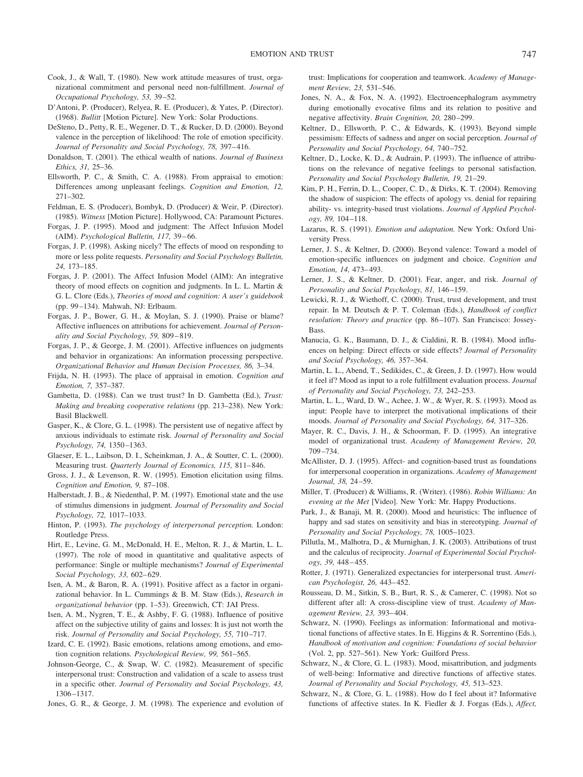- Cook, J., & Wall, T. (1980). New work attitude measures of trust, organizational commitment and personal need non-fulfillment. *Journal of Occupational Psychology, 53,* 39 –52.
- D'Antoni, P. (Producer), Relyea, R. E. (Producer), & Yates, P. (Director). (1968). *Bullitt* [Motion Picture]. New York: Solar Productions.
- DeSteno, D., Petty, R. E., Wegener, D. T., & Rucker, D. D. (2000). Beyond valence in the perception of likelihood: The role of emotion specificity. Journal of Personality and Social Psychology, 78, 397-416.
- Donaldson, T. (2001). The ethical wealth of nations. *Journal of Business Ethics, 31,* 25–36.
- Ellsworth, P. C., & Smith, C. A. (1988). From appraisal to emotion: Differences among unpleasant feelings. *Cognition and Emotion, 12,* 271–302.
- Feldman, E. S. (Producer), Bombyk, D. (Producer) & Weir, P. (Director). (1985). *Witness* [Motion Picture]. Hollywood, CA: Paramount Pictures.
- Forgas, J. P. (1995). Mood and judgment: The Affect Infusion Model (AIM). *Psychological Bulletin, 117,* 39 – 66.
- Forgas, J. P. (1998). Asking nicely? The effects of mood on responding to more or less polite requests. *Personality and Social Psychology Bulletin, 24,* 173–185.
- Forgas, J. P. (2001). The Affect Infusion Model (AIM): An integrative theory of mood effects on cognition and judgments. In L. L. Martin & G. L. Clore (Eds.), *Theories of mood and cognition: A user's guidebook* (pp. 99 –134). Mahwah, NJ: Erlbaum.
- Forgas, J. P., Bower, G. H., & Moylan, S. J. (1990). Praise or blame? Affective influences on attributions for achievement. *Journal of Personality and Social Psychology, 59,* 809 – 819.
- Forgas, J. P., & George, J. M. (2001). Affective influences on judgments and behavior in organizations: An information processing perspective. *Organizational Behavior and Human Decision Processes, 86,* 3–34.
- Frijda, N. H. (1993). The place of appraisal in emotion. *Cognition and Emotion, 7,* 357–387.
- Gambetta, D. (1988). Can we trust trust? In D. Gambetta (Ed.), *Trust: Making and breaking cooperative relations* (pp. 213–238). New York: Basil Blackwell.
- Gasper, K., & Clore, G. L. (1998). The persistent use of negative affect by anxious individuals to estimate risk. *Journal of Personality and Social Psychology, 74,* 1350 –1363.
- Glaeser, E. L., Laibson, D. I., Scheinkman, J. A., & Soutter, C. L. (2000). Measuring trust. *Quarterly Journal of Economics, 115, 811–846*.
- Gross, J. J., & Levenson, R. W. (1995). Emotion elicitation using films. *Cognition and Emotion, 9,* 87–108.
- Halberstadt, J. B., & Niedenthal, P. M. (1997). Emotional state and the use of stimulus dimensions in judgment. *Journal of Personality and Social Psychology, 72,* 1017–1033.
- Hinton, P. (1993). *The psychology of interpersonal perception.* London: Routledge Press.
- Hirt, E., Levine, G. M., McDonald, H. E., Melton, R. J., & Martin, L. L. (1997). The role of mood in quantitative and qualitative aspects of performance: Single or multiple mechanisms? *Journal of Experimental Social Psychology, 33,* 602– 629.
- Isen, A. M., & Baron, R. A. (1991). Positive affect as a factor in organizational behavior. In L. Cummings & B. M. Staw (Eds.), *Research in organizational behavior* (pp. 1–53). Greenwich, CT: JAI Press.
- Isen, A. M., Nygren, T. E., & Ashby, F. G. (1988). Influence of positive affect on the subjective utility of gains and losses: It is just not worth the risk. *Journal of Personality and Social Psychology, 55, 710-717.*
- Izard, C. E. (1992). Basic emotions, relations among emotions, and emotion cognition relations. *Psychological Review, 99,* 561–565.
- Johnson-George, C., & Swap, W. C. (1982). Measurement of specific interpersonal trust: Construction and validation of a scale to assess trust in a specific other. *Journal of Personality and Social Psychology, 43,* 1306 –1317.

Jones, G. R., & George, J. M. (1998). The experience and evolution of

trust: Implications for cooperation and teamwork. *Academy of Management Review, 23,* 531–546.

- Jones, N. A., & Fox, N. A. (1992). Electroencephalogram asymmetry during emotionally evocative films and its relation to positive and negative affectivity. *Brain Cognition, 20,* 280 –299.
- Keltner, D., Ellsworth, P. C., & Edwards, K. (1993). Beyond simple pessimism: Effects of sadness and anger on social perception. *Journal of Personality and Social Psychology, 64,* 740 –752.
- Keltner, D., Locke, K. D., & Audrain, P. (1993). The influence of attributions on the relevance of negative feelings to personal satisfaction. *Personality and Social Psychology Bulletin, 19,* 21–29.
- Kim, P. H., Ferrin, D. L., Cooper, C. D., & Dirks, K. T. (2004). Removing the shadow of suspicion: The effects of apology vs. denial for repairing ability- vs. integrity-based trust violations. *Journal of Applied Psychology, 89,* 104 –118.
- Lazarus, R. S. (1991). *Emotion and adaptation.* New York: Oxford University Press.
- Lerner, J. S., & Keltner, D. (2000). Beyond valence: Toward a model of emotion-specific influences on judgment and choice. *Cognition and Emotion, 14,* 473– 493.
- Lerner, J. S., & Keltner, D. (2001). Fear, anger, and risk. *Journal of* Personality and Social Psychology, 81, 146-159.
- Lewicki, R. J., & Wiethoff, C. (2000). Trust, trust development, and trust repair. In M. Deutsch & P. T. Coleman (Eds.), *Handbook of conflict resolution: Theory and practice* (pp. 86 –107)*.* San Francisco: Jossey-Bass.
- Manucia, G. K., Baumann, D. J., & Cialdini, R. B. (1984). Mood influences on helping: Direct effects or side effects? *Journal of Personality and Social Psychology, 46,* 357–364.
- Martin, L. L., Abend, T., Sedikides, C., & Green, J. D. (1997). How would it feel if? Mood as input to a role fulfillment evaluation process. *Journal of Personality and Social Psychology, 73,* 242–253.
- Martin, L. L., Ward, D. W., Achee, J. W., & Wyer, R. S. (1993). Mood as input: People have to interpret the motivational implications of their moods. *Journal of Personality and Social Psychology, 64,* 317–326.
- Mayer, R. C., Davis, J. H., & Schoorman, F. D. (1995). An integrative model of organizational trust. *Academy of Management Review, 20,* 709 –734.
- McAllister, D. J. (1995). Affect- and cognition-based trust as foundations for interpersonal cooperation in organizations. *Academy of Management Journal, 38,* 24 –59.
- Miller, T. (Producer) & Williams, R. (Writer). (1986). *Robin Williams: An evening at the Met* [Video]. New York: Mr. Happy Productions.
- Park, J., & Banaji, M. R. (2000). Mood and heuristics: The influence of happy and sad states on sensitivity and bias in stereotyping. *Journal of Personality and Social Psychology, 78,* 1005–1023.
- Pillutla, M., Malhotra, D., & Murnighan, J. K. (2003). Attributions of trust and the calculus of reciprocity. *Journal of Experimental Social Psychology, 39,* 448 – 455.
- Rotter, J. (1971). Generalized expectancies for interpersonal trust. *American Psychologist, 26,* 443– 452.
- Rousseau, D. M., Sitkin, S. B., Burt, R. S., & Camerer, C. (1998). Not so different after all: A cross-discipline view of trust. *Academy of Management Review, 23,* 393– 404.
- Schwarz, N. (1990). Feelings as information: Informational and motivational functions of affective states. In E. Higgins & R. Sorrentino (Eds.), *Handbook of motivation and cognition: Foundations of social behavior* (Vol. 2, pp. 527–561). New York: Guilford Press.
- Schwarz, N., & Clore, G. L. (1983). Mood, misattribution, and judgments of well-being: Informative and directive functions of affective states. *Journal of Personality and Social Psychology, 45,* 513–523.
- Schwarz, N., & Clore, G. L. (1988). How do I feel about it? Informative functions of affective states. In K. Fiedler & J. Forgas (Eds.), *Affect,*